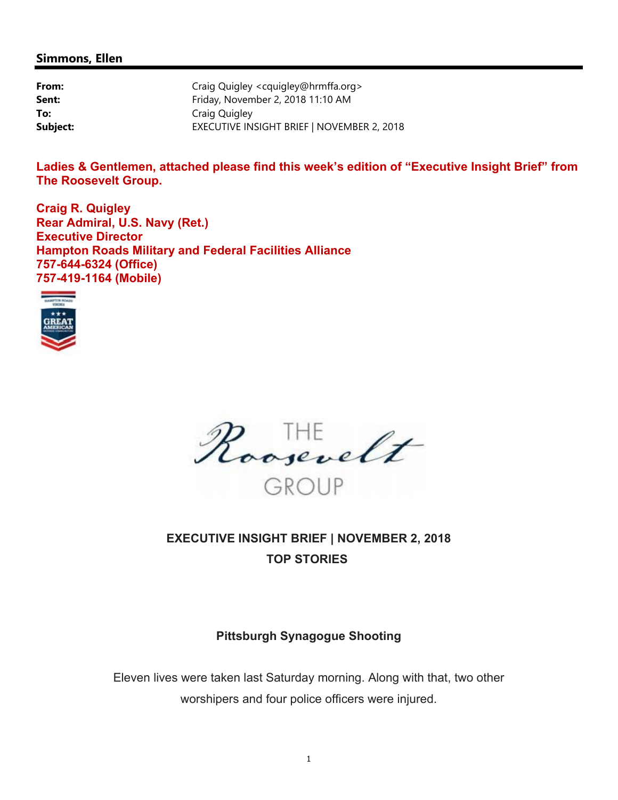#### **Simmons, Ellen**

| From:    | Craig Quigley < cquigley@hrmffa.org>       |
|----------|--------------------------------------------|
| Sent:    | Friday, November 2, 2018 11:10 AM          |
| To:      | Craig Quigley                              |
| Subject: | EXECUTIVE INSIGHT BRIEF   NOVEMBER 2, 2018 |

**Ladies & Gentlemen, attached please find this week's edition of "Executive Insight Brief" from The Roosevelt Group.** 

**Craig R. Quigley Rear Admiral, U.S. Navy (Ret.) Executive Director Hampton Roads Military and Federal Facilities Alliance 757-644-6324 (Office) 757-419-1164 (Mobile)** 





**EXECUTIVE INSIGHT BRIEF | NOVEMBER 2, 2018 TOP STORIES** 

### **Pittsburgh Synagogue Shooting**

Eleven lives were taken last Saturday morning. Along with that, two other worshipers and four police officers were injured.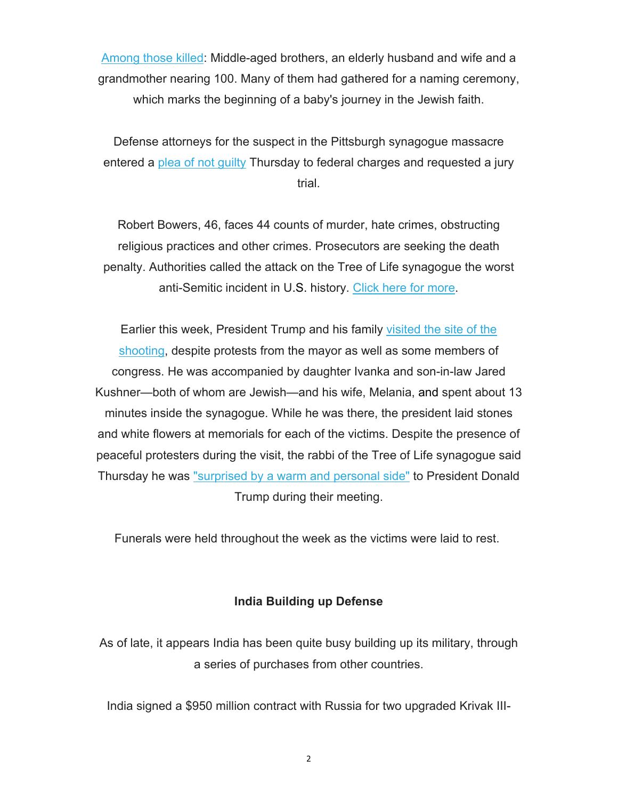Among those killed: Middle-aged brothers, an elderly husband and wife and a grandmother nearing 100. Many of them had gathered for a naming ceremony, which marks the beginning of a baby's journey in the Jewish faith.

Defense attorneys for the suspect in the Pittsburgh synagogue massacre entered a plea of not guilty Thursday to federal charges and requested a jury trial.

Robert Bowers, 46, faces 44 counts of murder, hate crimes, obstructing religious practices and other crimes. Prosecutors are seeking the death penalty. Authorities called the attack on the Tree of Life synagogue the worst anti-Semitic incident in U.S. history. Click here for more.

Earlier this week, President Trump and his family visited the site of the shooting, despite protests from the mayor as well as some members of congress. He was accompanied by daughter Ivanka and son-in-law Jared Kushner—both of whom are Jewish—and his wife, Melania, and spent about 13 minutes inside the synagogue. While he was there, the president laid stones and white flowers at memorials for each of the victims. Despite the presence of peaceful protesters during the visit, the rabbi of the Tree of Life synagogue said Thursday he was "surprised by a warm and personal side" to President Donald Trump during their meeting.

Funerals were held throughout the week as the victims were laid to rest.

#### **India Building up Defense**

As of late, it appears India has been quite busy building up its military, through a series of purchases from other countries.

India signed a \$950 million contract with Russia for two upgraded Krivak III-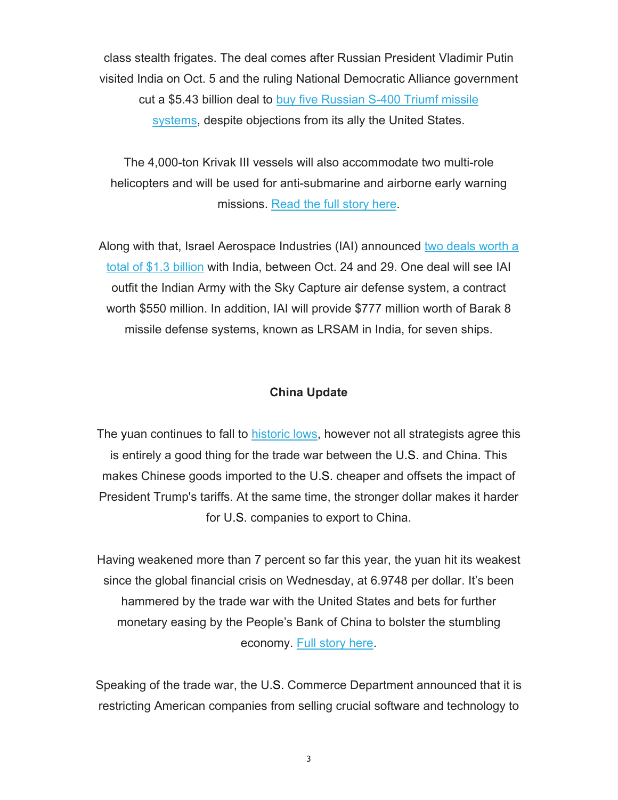class stealth frigates. The deal comes after Russian President Vladimir Putin visited India on Oct. 5 and the ruling National Democratic Alliance government cut a \$5.43 billion deal to buy five Russian S-400 Triumf missile systems, despite objections from its ally the United States.

The 4,000-ton Krivak III vessels will also accommodate two multi-role helicopters and will be used for anti-submarine and airborne early warning missions. Read the full story here.

Along with that, Israel Aerospace Industries (IAI) announced two deals worth a total of \$1.3 billion with India, between Oct. 24 and 29. One deal will see IAI outfit the Indian Army with the Sky Capture air defense system, a contract worth \$550 million. In addition, IAI will provide \$777 million worth of Barak 8 missile defense systems, known as LRSAM in India, for seven ships.

#### **China Update**

The yuan continues to fall to historic lows, however not all strategists agree this is entirely a good thing for the trade war between the U.S. and China. This makes Chinese goods imported to the U.S. cheaper and offsets the impact of President Trump's tariffs. At the same time, the stronger dollar makes it harder for U.S. companies to export to China.

Having weakened more than 7 percent so far this year, the yuan hit its weakest since the global financial crisis on Wednesday, at 6.9748 per dollar. It's been hammered by the trade war with the United States and bets for further monetary easing by the People's Bank of China to bolster the stumbling economy. Full story here.

Speaking of the trade war, the U.S. Commerce Department announced that it is restricting American companies from selling crucial software and technology to

3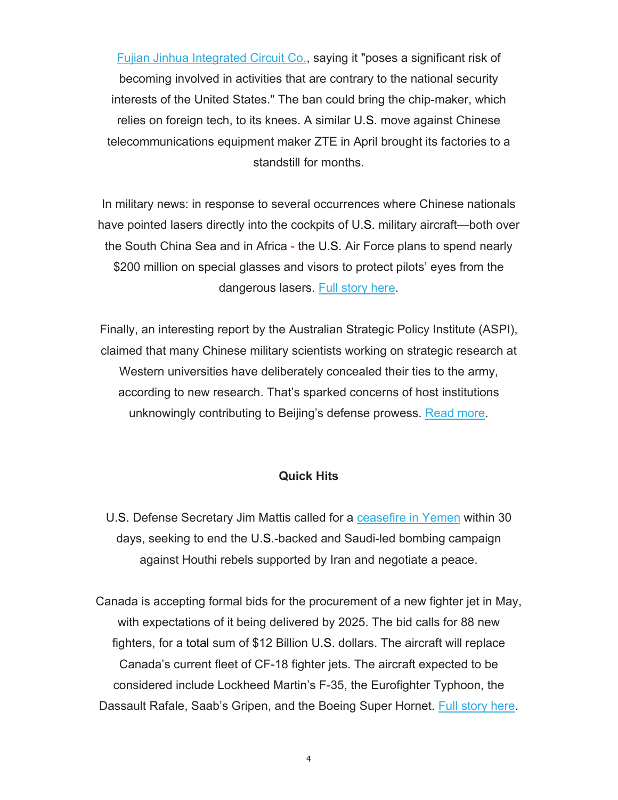Fujian Jinhua Integrated Circuit Co., saying it "poses a significant risk of becoming involved in activities that are contrary to the national security interests of the United States." The ban could bring the chip-maker, which relies on foreign tech, to its knees. A similar U.S. move against Chinese telecommunications equipment maker ZTE in April brought its factories to a standstill for months.

In military news: in response to several occurrences where Chinese nationals have pointed lasers directly into the cockpits of U.S. military aircraft—both over the South China Sea and in Africa - the U.S. Air Force plans to spend nearly \$200 million on special glasses and visors to protect pilots' eyes from the dangerous lasers. Full story here.

Finally, an interesting report by the Australian Strategic Policy Institute (ASPI), claimed that many Chinese military scientists working on strategic research at Western universities have deliberately concealed their ties to the army, according to new research. That's sparked concerns of host institutions unknowingly contributing to Beijing's defense prowess. Read more.

#### **Quick Hits**

U.S. Defense Secretary Jim Mattis called for a ceasefire in Yemen within 30 days, seeking to end the U.S.-backed and Saudi-led bombing campaign against Houthi rebels supported by Iran and negotiate a peace.

Canada is accepting formal bids for the procurement of a new fighter jet in May, with expectations of it being delivered by 2025. The bid calls for 88 new fighters, for a total sum of \$12 Billion U.S. dollars. The aircraft will replace Canada's current fleet of CF-18 fighter jets. The aircraft expected to be considered include Lockheed Martin's F-35, the Eurofighter Typhoon, the Dassault Rafale, Saab's Gripen, and the Boeing Super Hornet. Full story here.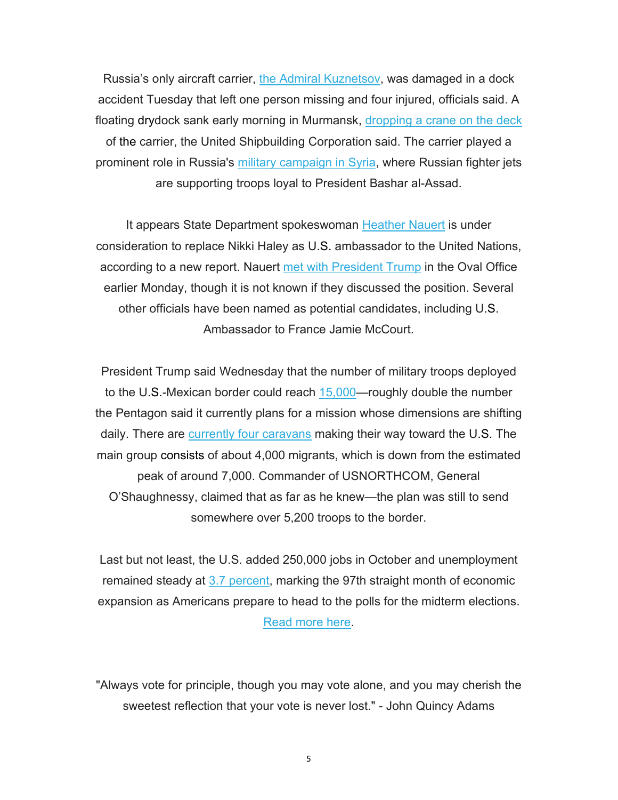Russia's only aircraft carrier, the Admiral Kuznetsov, was damaged in a dock accident Tuesday that left one person missing and four injured, officials said. A floating drydock sank early morning in Murmansk, dropping a crane on the deck of the carrier, the United Shipbuilding Corporation said. The carrier played a prominent role in Russia's military campaign in Syria, where Russian fighter jets are supporting troops loyal to President Bashar al-Assad.

It appears State Department spokeswoman Heather Nauert is under consideration to replace Nikki Haley as U.S. ambassador to the United Nations, according to a new report. Nauert met with President Trump in the Oval Office earlier Monday, though it is not known if they discussed the position. Several other officials have been named as potential candidates, including U.S. Ambassador to France Jamie McCourt.

President Trump said Wednesday that the number of military troops deployed to the U.S.-Mexican border could reach 15,000—roughly double the number the Pentagon said it currently plans for a mission whose dimensions are shifting daily. There are currently four caravans making their way toward the U.S. The main group consists of about 4,000 migrants, which is down from the estimated peak of around 7,000. Commander of USNORTHCOM, General O'Shaughnessy, claimed that as far as he knew—the plan was still to send somewhere over 5,200 troops to the border.

Last but not least, the U.S. added 250,000 jobs in October and unemployment remained steady at 3.7 percent, marking the 97th straight month of economic expansion as Americans prepare to head to the polls for the midterm elections. Read more here.

"Always vote for principle, though you may vote alone, and you may cherish the sweetest reflection that your vote is never lost." - John Quincy Adams

5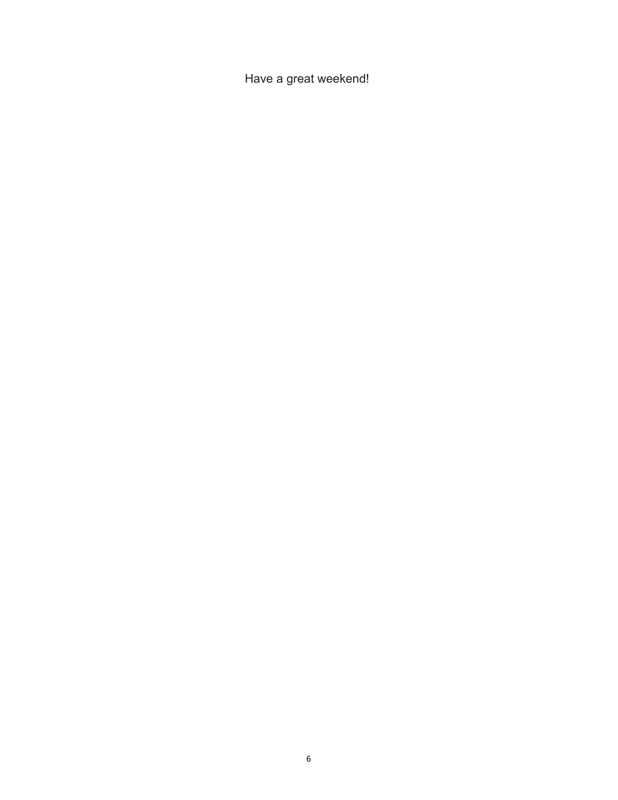Have a great weekend!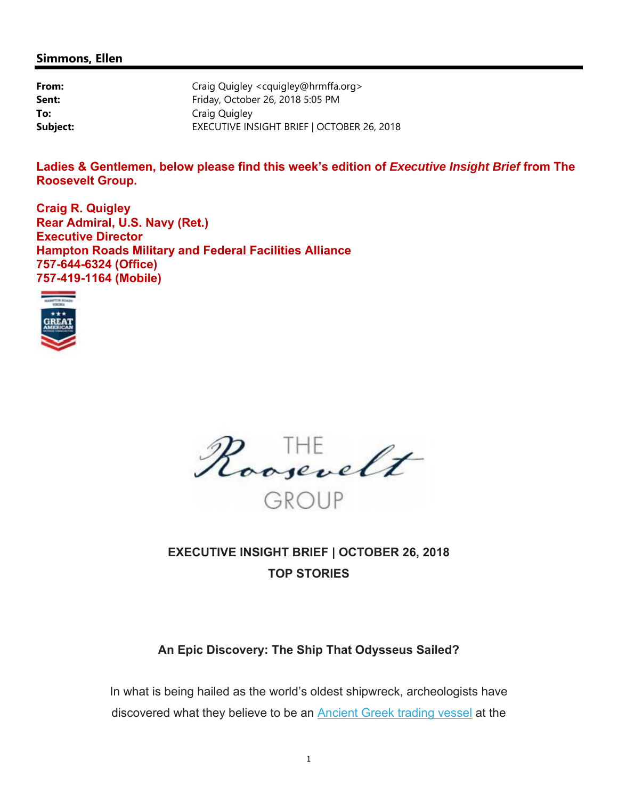#### **Simmons, Ellen**

| From:    | Craig Quigley <cquigley@hrmffa.org></cquigley@hrmffa.org> |
|----------|-----------------------------------------------------------|
| Sent:    | Friday, October 26, 2018 5:05 PM                          |
| To:      | Craig Quigley                                             |
| Subject: | EXECUTIVE INSIGHT BRIEF   OCTOBER 26, 2018                |

**Ladies & Gentlemen, below please find this week's edition of** *Executive Insight Brief* **from The Roosevelt Group.** 

**Craig R. Quigley Rear Admiral, U.S. Navy (Ret.) Executive Director Hampton Roads Military and Federal Facilities Alliance 757-644-6324 (Office) 757-419-1164 (Mobile)** 



Roosevelt

# **EXECUTIVE INSIGHT BRIEF | OCTOBER 26, 2018 TOP STORIES**

### **An Epic Discovery: The Ship That Odysseus Sailed?**

In what is being hailed as the world's oldest shipwreck, archeologists have discovered what they believe to be an Ancient Greek trading vessel at the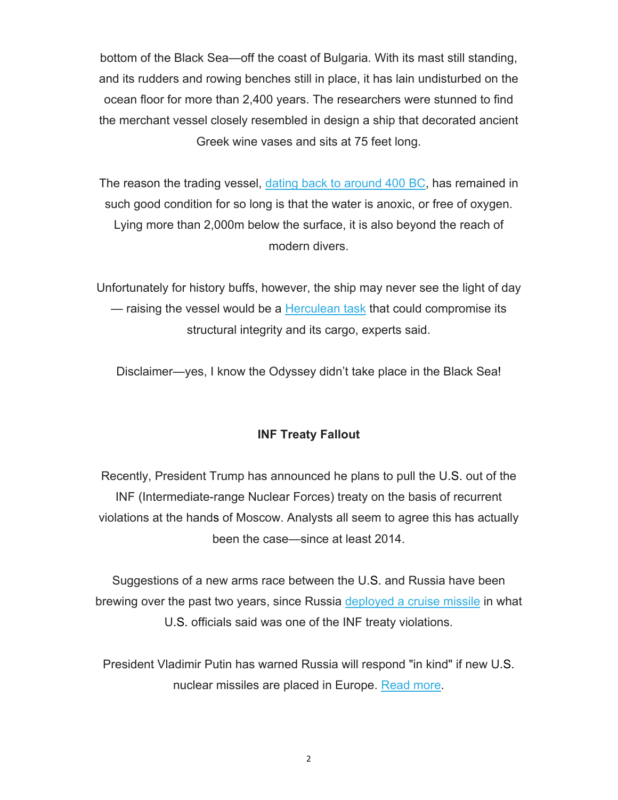bottom of the Black Sea—off the coast of Bulgaria. With its mast still standing, and its rudders and rowing benches still in place, it has lain undisturbed on the ocean floor for more than 2,400 years. The researchers were stunned to find the merchant vessel closely resembled in design a ship that decorated ancient Greek wine vases and sits at 75 feet long.

The reason the trading vessel, dating back to around 400 BC, has remained in such good condition for so long is that the water is anoxic, or free of oxygen. Lying more than 2,000m below the surface, it is also beyond the reach of modern divers.

Unfortunately for history buffs, however, the ship may never see the light of day — raising the vessel would be a Herculean task that could compromise its structural integrity and its cargo, experts said.

Disclaimer—yes, I know the Odyssey didn't take place in the Black Sea!

# **INF Treaty Fallout**

Recently, President Trump has announced he plans to pull the U.S. out of the INF (Intermediate-range Nuclear Forces) treaty on the basis of recurrent violations at the hands of Moscow. Analysts all seem to agree this has actually been the case—since at least 2014.

Suggestions of a new arms race between the U.S. and Russia have been brewing over the past two years, since Russia deployed a cruise missile in what U.S. officials said was one of the INF treaty violations.

President Vladimir Putin has warned Russia will respond "in kind" if new U.S. nuclear missiles are placed in Europe. Read more.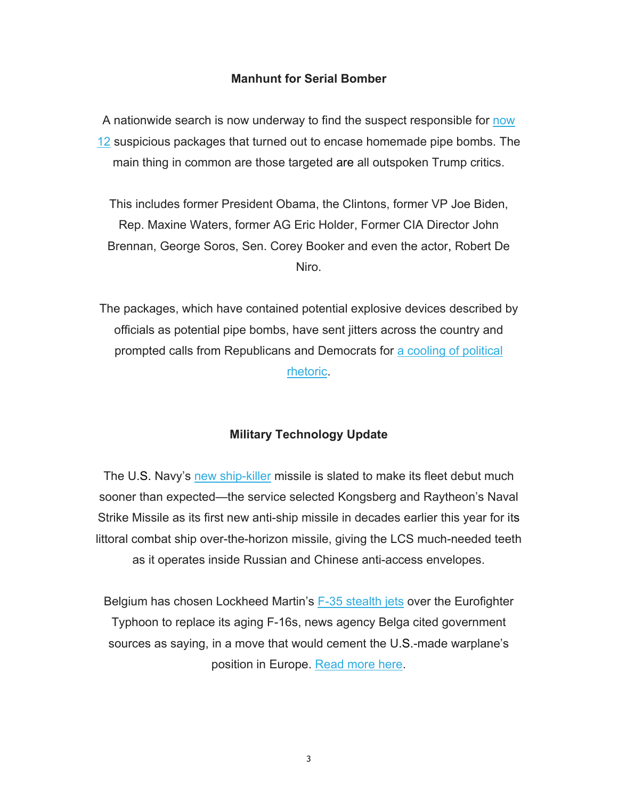### **Manhunt for Serial Bomber**

A nationwide search is now underway to find the suspect responsible for now 12 suspicious packages that turned out to encase homemade pipe bombs. The main thing in common are those targeted are all outspoken Trump critics.

This includes former President Obama, the Clintons, former VP Joe Biden, Rep. Maxine Waters, former AG Eric Holder, Former CIA Director John Brennan, George Soros, Sen. Corey Booker and even the actor, Robert De Niro.

The packages, which have contained potential explosive devices described by officials as potential pipe bombs, have sent jitters across the country and prompted calls from Republicans and Democrats for a cooling of political rhetoric.

### **Military Technology Update**

The U.S. Navy's new ship-killer missile is slated to make its fleet debut much sooner than expected—the service selected Kongsberg and Raytheon's Naval Strike Missile as its first new anti-ship missile in decades earlier this year for its littoral combat ship over-the-horizon missile, giving the LCS much-needed teeth as it operates inside Russian and Chinese anti-access envelopes.

Belgium has chosen Lockheed Martin's F-35 stealth jets over the Eurofighter Typhoon to replace its aging F-16s, news agency Belga cited government sources as saying, in a move that would cement the U.S.-made warplane's position in Europe. Read more here.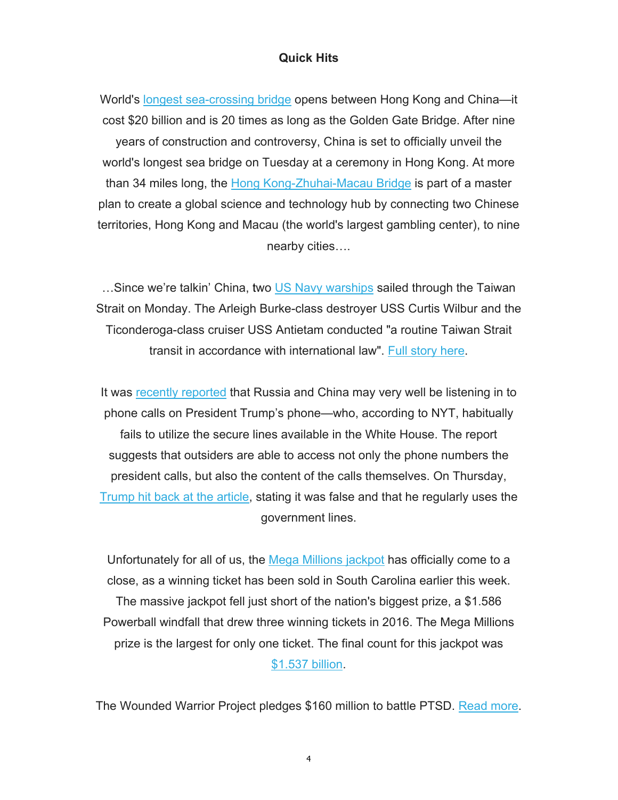#### **Quick Hits**

World's longest sea-crossing bridge opens between Hong Kong and China—it cost \$20 billion and is 20 times as long as the Golden Gate Bridge. After nine years of construction and controversy, China is set to officially unveil the world's longest sea bridge on Tuesday at a ceremony in Hong Kong. At more than 34 miles long, the Hong Kong-Zhuhai-Macau Bridge is part of a master plan to create a global science and technology hub by connecting two Chinese territories, Hong Kong and Macau (the world's largest gambling center), to nine nearby cities….

…Since we're talkin' China, two US Navy warships sailed through the Taiwan Strait on Monday. The Arleigh Burke-class destroyer USS Curtis Wilbur and the Ticonderoga-class cruiser USS Antietam conducted "a routine Taiwan Strait transit in accordance with international law". Full story here.

It was recently reported that Russia and China may very well be listening in to phone calls on President Trump's phone—who, according to NYT, habitually fails to utilize the secure lines available in the White House. The report suggests that outsiders are able to access not only the phone numbers the president calls, but also the content of the calls themselves. On Thursday, Trump hit back at the article, stating it was false and that he regularly uses the government lines.

Unfortunately for all of us, the Mega Millions jackpot has officially come to a close, as a winning ticket has been sold in South Carolina earlier this week. The massive jackpot fell just short of the nation's biggest prize, a \$1.586 Powerball windfall that drew three winning tickets in 2016. The Mega Millions prize is the largest for only one ticket. The final count for this jackpot was \$1.537 billion.

The Wounded Warrior Project pledges \$160 million to battle PTSD. Read more.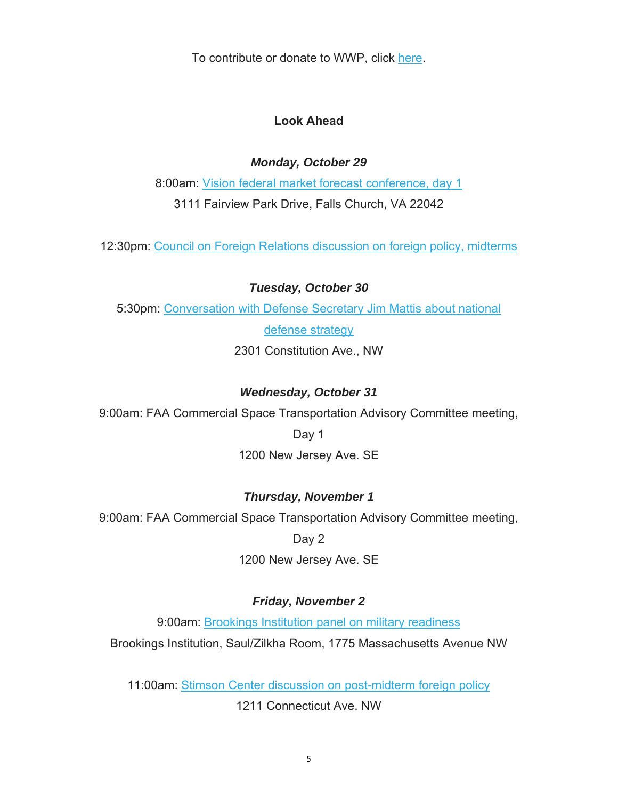To contribute or donate to WWP, click here.

## **Look Ahead**

### *Monday, October 29*

8:00am: Vision federal market forecast conference, day 1 3111 Fairview Park Drive, Falls Church, VA 22042

12:30pm: Council on Foreign Relations discussion on foreign policy, midterms

### *Tuesday, October 30*

5:30pm: Conversation with Defense Secretary Jim Mattis about national

defense strategy

2301 Constitution Ave., NW

# *Wednesday, October 31*

9:00am: FAA Commercial Space Transportation Advisory Committee meeting,

Day 1

1200 New Jersey Ave. SE

# *Thursday, November 1*

9:00am: FAA Commercial Space Transportation Advisory Committee meeting,

Day 2

1200 New Jersey Ave. SE

# *Friday, November 2*

9:00am: Brookings Institution panel on military readiness

Brookings Institution, Saul/Zilkha Room, 1775 Massachusetts Avenue NW

11:00am: Stimson Center discussion on post-midterm foreign policy

1211 Connecticut Ave. NW